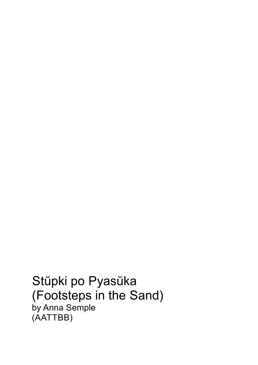Stŭpki po Pyasŭka (Footsteps in the Sand) by Anna Semple (AATTBB)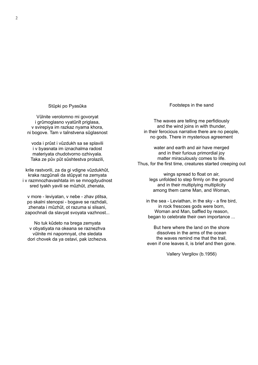Stůpki po Pyasůka

Vǔlnite verolomno mi govoryat i grůmoglasno vyatůnít priglasa, v svirepiya im razkaz nyama khora, ni bogove. Tam v taǐnstvena sǔglasnost

voda i prǔst i vǔzdukh sa se splavili i v byasnata im iznachalma radost materiyata chudotvorno ozhivyala. Taka ze pǔv pǔt sǔshtestva prolazili,

krile rastvorili, za da givdigne vǔzdukhǔt, kraka razgǔnali da stǔpyat na zemyata i v razmnozhavashtata im se mnogdyudnost sred tyakh yavili se můzhůt, zhenata,

v more - leviyatan, v nebe - zhav ptitsa, po skalni stenopsi - bogave se razhdali, zhenata i mǔzhǔt, ot razuma si slisani, zapochnali da slavyat svoyata vazhnost...

No tuk kǔdeto na brega zemyata v obyatiyata na okeana se raznezhva vǔlnite mi napomnyat, che sledata dori chovek da ya ostavi, pak izchezva. Footsteps in the sand

The waves are telling me perfidiously and the wind joins in with thunder, in their ferocious narrative there are no people, no gods. There in mysterious agreement

water and earth and air have merged and in their furious primordial joy matter miraculously comes to life. Thus, for the first time, creatures started creeping out

> wings spread to float on air, legs unfolded to step firmly on the ground and in their multiplying multiplicity among them came Man, and Woman,

in the sea - Leviathan, in the sky - a fire bird, in rock frescoes gods were born, Woman and Man, baffled by reason, began to celebrate their own importance ...

But here where the land on the shore dissolves in the arms of the ocean the waves remind me that the trail, even if one leaves it, is brief and then gone.

Vallery Vergilov (b.1956)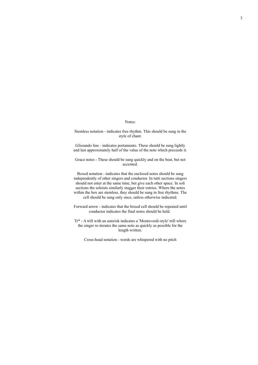## Notes:

Stemless notation - indicates free rhythm. This should be sung in the style of chant.

Glissando line - indicates portamento. These should be sung lightly and lastapproximately half of the value of the note which preceeds it.

Grace notes - These should be sung quickly and on the beat, but not accented.

Boxed notation - indicates that the enclosed notes should be sung independently of other singers and conductor. In tutti sections singers should not enter at the same time, but give each other space. In soli sections the soloists similarly stagger their entries. Where the notes within the box are stemless, they should be sung in free rhythms. The cell should be sung only once, unless otherwise indicated.

Forward arrow - indicates that the boxed cell should be repeated until conductor indicates the final notes should be held.

Tr\* - A trill with an asterisk indicates a 'Monteverdi-style' trill where the singer re-iterates the same note as quickly as possible for the length written.

Cross-head notation - words are whispered with no pitch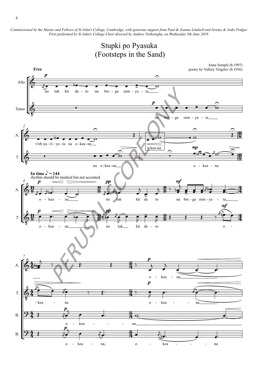Commissioned by the Master and Fellows of St John's College, Cambridge, with generous support from Paul & Joanna Lindsell and Jeremy & Jodie Podger. *First performed by St John's College Choir directed by Andrew Nethsingha, on Wednesday 5th June 2019.*



o - kea - kea - na, o - kea - - - na